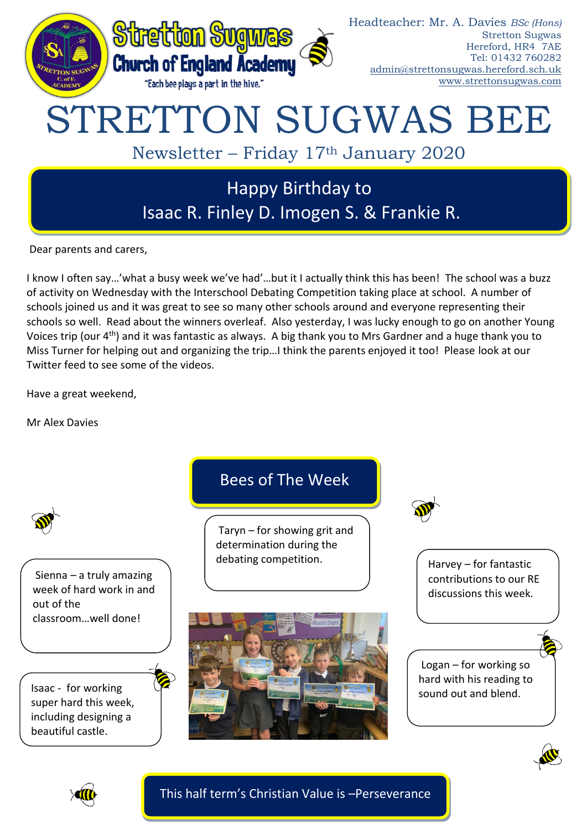

Dear parents and carers,

I know I often say…'what a busy week we've had'…but it I actually think this has been! The school was a buzz of activity on Wednesday with the Interschool Debating Competition taking place at school. A number of schools joined us and it was great to see so many other schools around and everyone representing their schools so well. Read about the winners overleaf. Also yesterday, I was lucky enough to go on another Young Voices trip (our 4<sup>th</sup>) and it was fantastic as always. A big thank you to Mrs Gardner and a huge thank you to Miss Turner for helping out and organizing the trip…I think the parents enjoyed it too! Please look at our Twitter feed to see some of the videos.

Have a great weekend,

Mr Alex Davies



This half term's Christian Value is –Perseverance